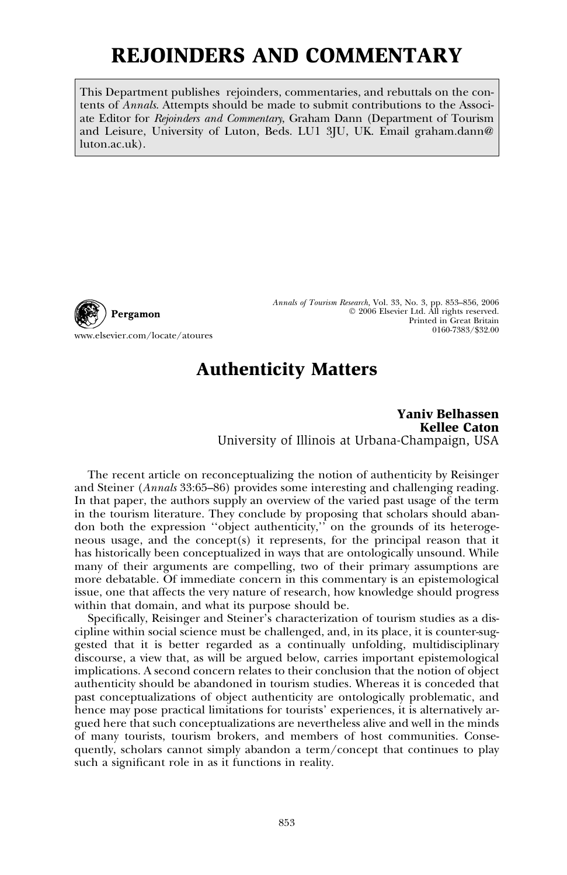## REJOINDERS AND COMMENTARY

This Department publishes rejoinders, commentaries, and rebuttals on the contents of Annals. Attempts should be made to submit contributions to the Associate Editor for Rejoinders and Commentary, Graham Dann (Department of Tourism and Leisure, University of Luton, Beds. LU1 3JU, UK. Email graham.dann@ luton.ac.uk).



Annals of Tourism Research, Vol. 33, No. 3, pp. 853–856, 2006 2006 Elsevier Ltd. All rights reserved. Printed in Great Britain<br>0160-7383/\$32.00

## Authenticity Matters

Yaniv Belhassen Kellee Caton University of Illinois at Urbana-Champaign, USA

The recent article on reconceptualizing the notion of authenticity by Reisinger and Steiner (Annals 33:65–86) provides some interesting and challenging reading. In that paper, the authors supply an overview of the varied past usage of the term in the tourism literature. They conclude by proposing that scholars should abandon both the expression ''object authenticity,'' on the grounds of its heterogeneous usage, and the concept(s) it represents, for the principal reason that it has historically been conceptualized in ways that are ontologically unsound. While many of their arguments are compelling, two of their primary assumptions are more debatable. Of immediate concern in this commentary is an epistemological issue, one that affects the very nature of research, how knowledge should progress within that domain, and what its purpose should be.

Specifically, Reisinger and Steiner's characterization of tourism studies as a discipline within social science must be challenged, and, in its place, it is counter-suggested that it is better regarded as a continually unfolding, multidisciplinary discourse, a view that, as will be argued below, carries important epistemological implications. A second concern relates to their conclusion that the notion of object authenticity should be abandoned in tourism studies. Whereas it is conceded that past conceptualizations of object authenticity are ontologically problematic, and hence may pose practical limitations for tourists' experiences, it is alternatively argued here that such conceptualizations are nevertheless alive and well in the minds of many tourists, tourism brokers, and members of host communities. Consequently, scholars cannot simply abandon a term/concept that continues to play such a significant role in as it functions in reality.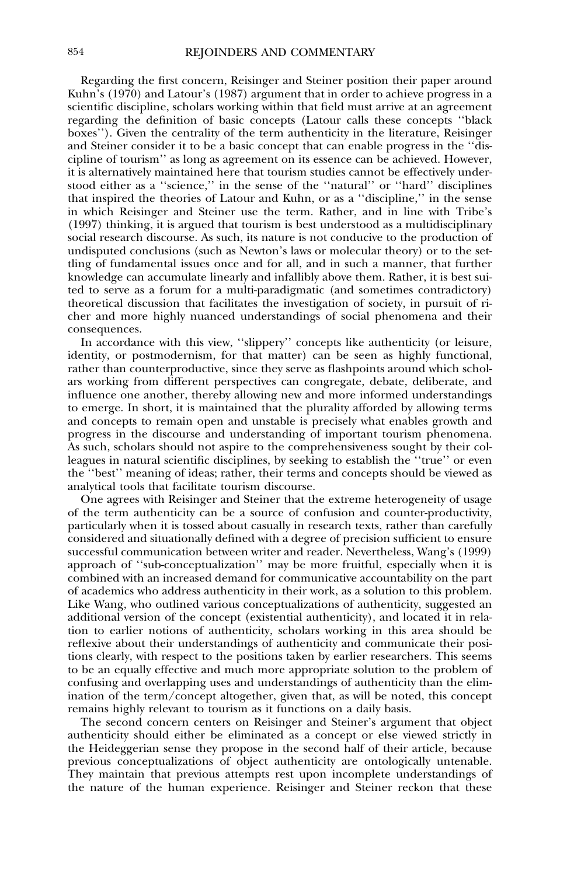Regarding the first concern, Reisinger and Steiner position their paper around Kuhn's (1970) and Latour's (1987) argument that in order to achieve progress in a scientific discipline, scholars working within that field must arrive at an agreement regarding the definition of basic concepts (Latour calls these concepts ''black boxes''). Given the centrality of the term authenticity in the literature, Reisinger and Steiner consider it to be a basic concept that can enable progress in the ''discipline of tourism'' as long as agreement on its essence can be achieved. However, it is alternatively maintained here that tourism studies cannot be effectively understood either as a ''science,'' in the sense of the ''natural'' or ''hard'' disciplines that inspired the theories of Latour and Kuhn, or as a ''discipline,'' in the sense in which Reisinger and Steiner use the term. Rather, and in line with Tribe's (1997) thinking, it is argued that tourism is best understood as a multidisciplinary social research discourse. As such, its nature is not conducive to the production of undisputed conclusions (such as Newton's laws or molecular theory) or to the settling of fundamental issues once and for all, and in such a manner, that further knowledge can accumulate linearly and infallibly above them. Rather, it is best suited to serve as a forum for a multi-paradigmatic (and sometimes contradictory) theoretical discussion that facilitates the investigation of society, in pursuit of richer and more highly nuanced understandings of social phenomena and their consequences.

In accordance with this view, ''slippery'' concepts like authenticity (or leisure, identity, or postmodernism, for that matter) can be seen as highly functional, rather than counterproductive, since they serve as flashpoints around which scholars working from different perspectives can congregate, debate, deliberate, and influence one another, thereby allowing new and more informed understandings to emerge. In short, it is maintained that the plurality afforded by allowing terms and concepts to remain open and unstable is precisely what enables growth and progress in the discourse and understanding of important tourism phenomena. As such, scholars should not aspire to the comprehensiveness sought by their colleagues in natural scientific disciplines, by seeking to establish the ''true'' or even the ''best'' meaning of ideas; rather, their terms and concepts should be viewed as analytical tools that facilitate tourism discourse.

One agrees with Reisinger and Steiner that the extreme heterogeneity of usage of the term authenticity can be a source of confusion and counter-productivity, particularly when it is tossed about casually in research texts, rather than carefully considered and situationally defined with a degree of precision sufficient to ensure successful communication between writer and reader. Nevertheless, Wang's (1999) approach of ''sub-conceptualization'' may be more fruitful, especially when it is combined with an increased demand for communicative accountability on the part of academics who address authenticity in their work, as a solution to this problem. Like Wang, who outlined various conceptualizations of authenticity, suggested an additional version of the concept (existential authenticity), and located it in relation to earlier notions of authenticity, scholars working in this area should be reflexive about their understandings of authenticity and communicate their positions clearly, with respect to the positions taken by earlier researchers. This seems to be an equally effective and much more appropriate solution to the problem of confusing and overlapping uses and understandings of authenticity than the elimination of the term/concept altogether, given that, as will be noted, this concept remains highly relevant to tourism as it functions on a daily basis.

The second concern centers on Reisinger and Steiner's argument that object authenticity should either be eliminated as a concept or else viewed strictly in the Heideggerian sense they propose in the second half of their article, because previous conceptualizations of object authenticity are ontologically untenable. They maintain that previous attempts rest upon incomplete understandings of the nature of the human experience. Reisinger and Steiner reckon that these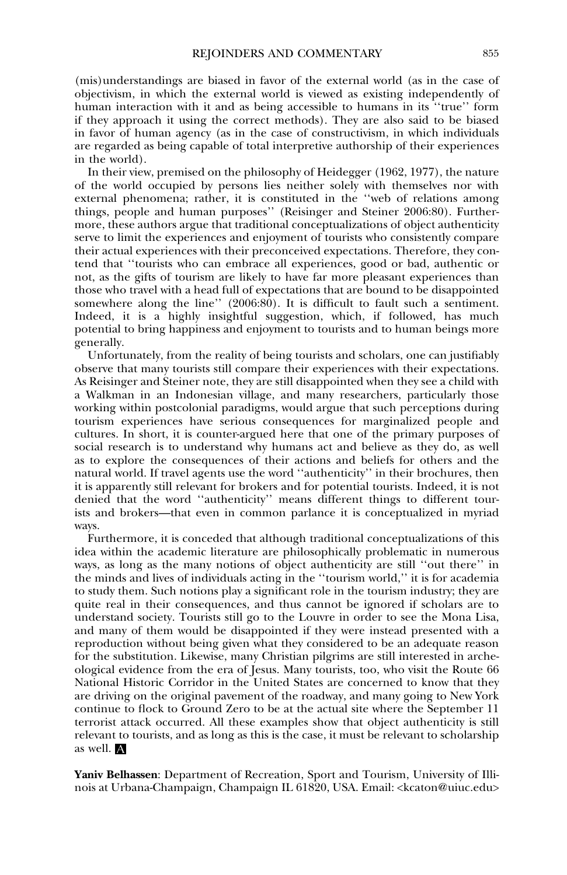(mis)understandings are biased in favor of the external world (as in the case of objectivism, in which the external world is viewed as existing independently of human interaction with it and as being accessible to humans in its ''true'' form if they approach it using the correct methods). They are also said to be biased in favor of human agency (as in the case of constructivism, in which individuals are regarded as being capable of total interpretive authorship of their experiences in the world).

In their view, premised on the philosophy of Heidegger (1962, 1977), the nature of the world occupied by persons lies neither solely with themselves nor with external phenomena; rather, it is constituted in the ''web of relations among things, people and human purposes'' (Reisinger and Steiner 2006:80). Furthermore, these authors argue that traditional conceptualizations of object authenticity serve to limit the experiences and enjoyment of tourists who consistently compare their actual experiences with their preconceived expectations. Therefore, they contend that ''tourists who can embrace all experiences, good or bad, authentic or not, as the gifts of tourism are likely to have far more pleasant experiences than those who travel with a head full of expectations that are bound to be disappointed somewhere along the line'' (2006:80). It is difficult to fault such a sentiment. Indeed, it is a highly insightful suggestion, which, if followed, has much potential to bring happiness and enjoyment to tourists and to human beings more generally.

Unfortunately, from the reality of being tourists and scholars, one can justifiably observe that many tourists still compare their experiences with their expectations. As Reisinger and Steiner note, they are still disappointed when they see a child with a Walkman in an Indonesian village, and many researchers, particularly those working within postcolonial paradigms, would argue that such perceptions during tourism experiences have serious consequences for marginalized people and cultures. In short, it is counter-argued here that one of the primary purposes of social research is to understand why humans act and believe as they do, as well as to explore the consequences of their actions and beliefs for others and the natural world. If travel agents use the word ''authenticity'' in their brochures, then it is apparently still relevant for brokers and for potential tourists. Indeed, it is not denied that the word ''authenticity'' means different things to different tourists and brokers—that even in common parlance it is conceptualized in myriad ways.

Furthermore, it is conceded that although traditional conceptualizations of this idea within the academic literature are philosophically problematic in numerous ways, as long as the many notions of object authenticity are still ''out there'' in the minds and lives of individuals acting in the ''tourism world,'' it is for academia to study them. Such notions play a significant role in the tourism industry; they are quite real in their consequences, and thus cannot be ignored if scholars are to understand society. Tourists still go to the Louvre in order to see the Mona Lisa, and many of them would be disappointed if they were instead presented with a reproduction without being given what they considered to be an adequate reason for the substitution. Likewise, many Christian pilgrims are still interested in archeological evidence from the era of Jesus. Many tourists, too, who visit the Route 66 National Historic Corridor in the United States are concerned to know that they are driving on the original pavement of the roadway, and many going to New York continue to flock to Ground Zero to be at the actual site where the September 11 terrorist attack occurred. All these examples show that object authenticity is still relevant to tourists, and as long as this is the case, it must be relevant to scholarship as well.

Yaniv Belhassen: Department of Recreation, Sport and Tourism, University of Illinois at Urbana-Champaign, Champaign IL 61820, USA. Email: <kcaton@uiuc.edu>